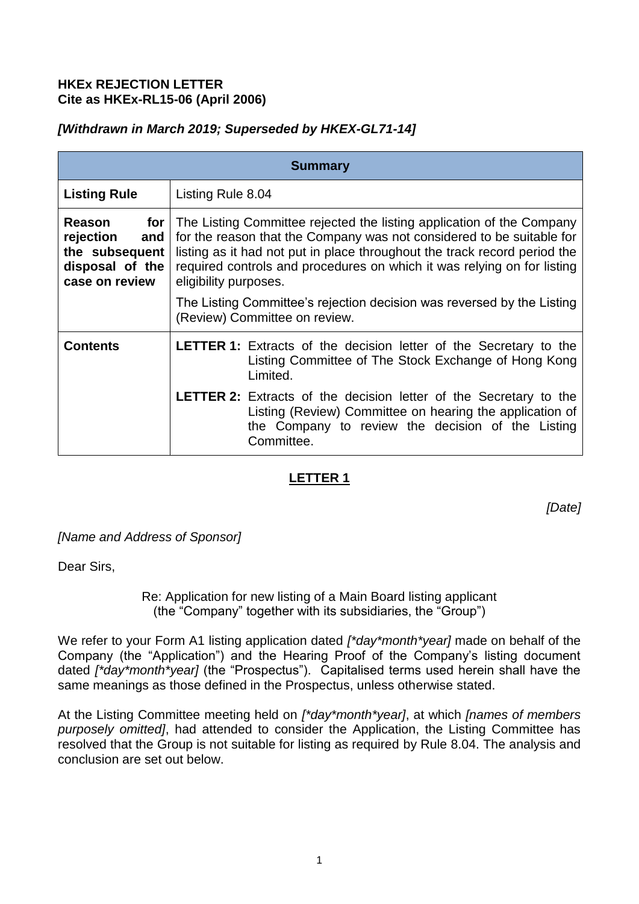### **HKEx REJECTION LETTER Cite as HKEx-RL15-06 (April 2006)**

## *[Withdrawn in March 2019; Superseded by HKEX-GL71-14]*

| <b>Summary</b>                                                                           |                                                                                                                                                                                                                                                                                                                                 |
|------------------------------------------------------------------------------------------|---------------------------------------------------------------------------------------------------------------------------------------------------------------------------------------------------------------------------------------------------------------------------------------------------------------------------------|
| <b>Listing Rule</b>                                                                      | Listing Rule 8.04                                                                                                                                                                                                                                                                                                               |
| Reason<br>for<br>rejection<br>and<br>the subsequent<br>disposal of the<br>case on review | The Listing Committee rejected the listing application of the Company<br>for the reason that the Company was not considered to be suitable for<br>listing as it had not put in place throughout the track record period the<br>required controls and procedures on which it was relying on for listing<br>eligibility purposes. |
|                                                                                          | The Listing Committee's rejection decision was reversed by the Listing<br>(Review) Committee on review.                                                                                                                                                                                                                         |
| <b>Contents</b>                                                                          | <b>LETTER 1:</b> Extracts of the decision letter of the Secretary to the<br>Listing Committee of The Stock Exchange of Hong Kong<br>Limited.                                                                                                                                                                                    |
|                                                                                          | <b>LETTER 2:</b> Extracts of the decision letter of the Secretary to the<br>Listing (Review) Committee on hearing the application of<br>the Company to review the decision of the Listing<br>Committee.                                                                                                                         |

# **LETTER 1**

*[Date]*

*[Name and Address of Sponsor]* 

Dear Sirs,

Re: Application for new listing of a Main Board listing applicant (the "Company" together with its subsidiaries, the "Group")

We refer to your Form A1 listing application dated *[\*day\*month\*year]* made on behalf of the Company (the "Application") and the Hearing Proof of the Company's listing document dated *[\*day\*month\*year]* (the "Prospectus"). Capitalised terms used herein shall have the same meanings as those defined in the Prospectus, unless otherwise stated.

At the Listing Committee meeting held on *[\*day\*month\*year]*, at which *[names of members purposely omitted]*, had attended to consider the Application, the Listing Committee has resolved that the Group is not suitable for listing as required by Rule 8.04. The analysis and conclusion are set out below.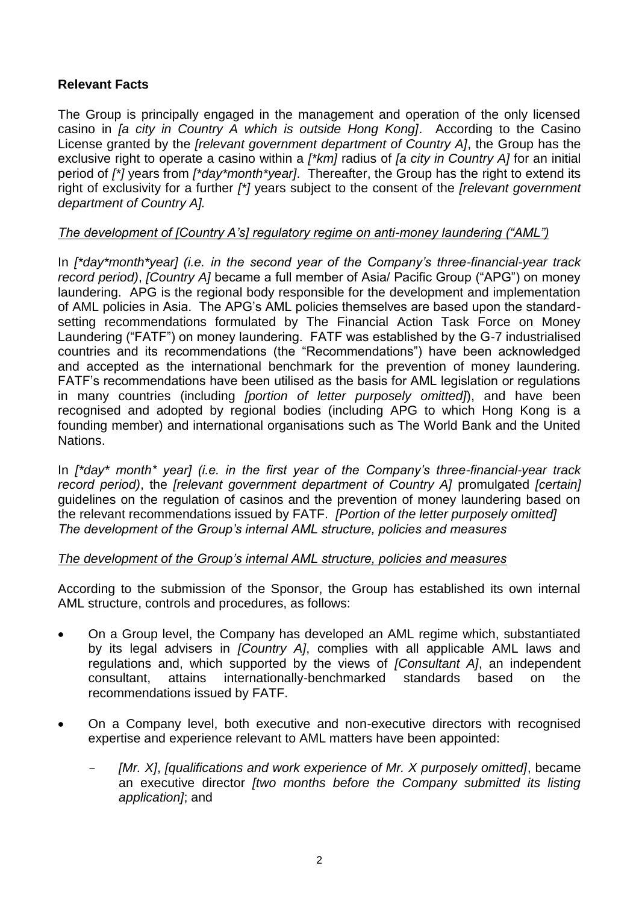## **Relevant Facts**

The Group is principally engaged in the management and operation of the only licensed casino in *[a city in Country A which is outside Hong Kong]*. According to the Casino License granted by the *[relevant government department of Country A]*, the Group has the exclusive right to operate a casino within a *[\*km]* radius of *[a city in Country A]* for an initial period of *[\*]* years from *[\*day\*month\*year]*. Thereafter, the Group has the right to extend its right of exclusivity for a further *[\*]* years subject to the consent of the *[relevant government department of Country A].* 

### *The development of [Country A's] regulatory regime on anti-money laundering ("AML")*

In *[\*day\*month\*year] (i.e. in the second year of the Company's three-financial-year track record period)*, *[Country A]* became a full member of Asia/ Pacific Group ("APG") on money laundering. APG is the regional body responsible for the development and implementation of AML policies in Asia. The APG's AML policies themselves are based upon the standardsetting recommendations formulated by The Financial Action Task Force on Money Laundering ("FATF") on money laundering. FATF was established by the G-7 industrialised countries and its recommendations (the "Recommendations") have been acknowledged and accepted as the international benchmark for the prevention of money laundering. FATF's recommendations have been utilised as the basis for AML legislation or regulations in many countries (including *[portion of letter purposely omitted]*), and have been recognised and adopted by regional bodies (including APG to which Hong Kong is a founding member) and international organisations such as The World Bank and the United Nations.

In *[\*day\* month\* year] (i.e. in the first year of the Company's three-financial-year track record period*), the *[relevant government department of Country A]* promulgated *[certain]* guidelines on the regulation of casinos and the prevention of money laundering based on the relevant recommendations issued by FATF. *[Portion of the letter purposely omitted] The development of the Group's internal AML structure, policies and measures*

### *The development of the Group's internal AML structure, policies and measures*

According to the submission of the Sponsor, the Group has established its own internal AML structure, controls and procedures, as follows:

- On a Group level, the Company has developed an AML regime which, substantiated by its legal advisers in *[Country A]*, complies with all applicable AML laws and regulations and, which supported by the views of *[Consultant A]*, an independent consultant, attains internationally-benchmarked standards based on the recommendations issued by FATF.
- On a Company level, both executive and non-executive directors with recognised expertise and experience relevant to AML matters have been appointed:
	- [Mr. X], *[qualifications and work experience of Mr. X purposely omitted]*, became an executive director *[two months before the Company submitted its listing application]*; and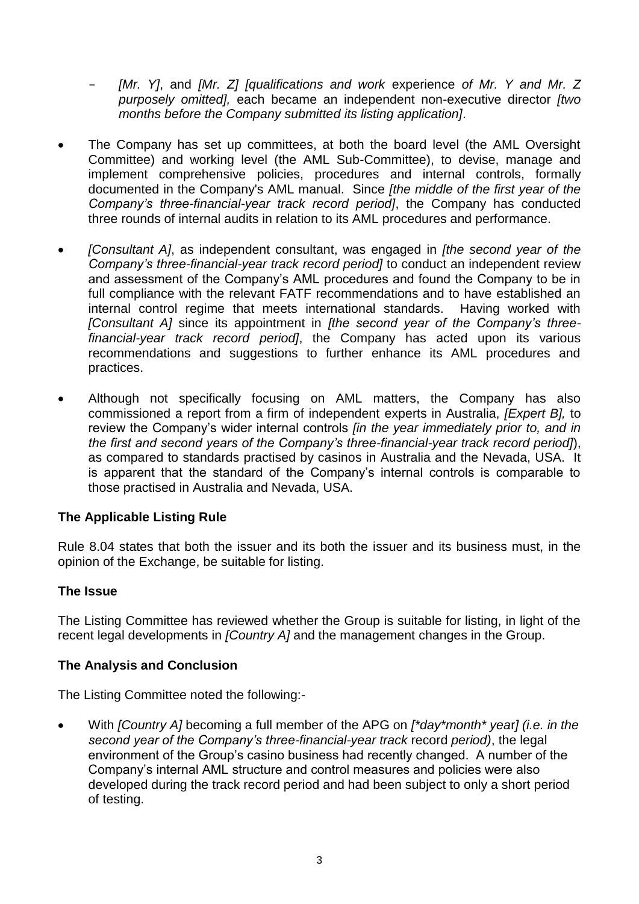- *[Mr. Y]*, and *[Mr. Z] [qualifications and work* experience *of Mr. Y and Mr. Z purposely omitted],* each became an independent non-executive director *[two months before the Company submitted its listing application]*.

- The Company has set up committees, at both the board level (the AML Oversight Committee) and working level (the AML Sub-Committee), to devise, manage and implement comprehensive policies, procedures and internal controls, formally documented in the Company's AML manual. Since *[the middle of the first year of the Company's three-financial-year track record period]*, the Company has conducted three rounds of internal audits in relation to its AML procedures and performance.
- *[Consultant A]*, as independent consultant, was engaged in *[the second year of the Company's three-financial-year track record period]* to conduct an independent review and assessment of the Company's AML procedures and found the Company to be in full compliance with the relevant FATF recommendations and to have established an internal control regime that meets international standards. Having worked with *[Consultant A]* since its appointment in *[the second year of the Company's threefinancial-year track record period]*, the Company has acted upon its various recommendations and suggestions to further enhance its AML procedures and practices.
- Although not specifically focusing on AML matters, the Company has also commissioned a report from a firm of independent experts in Australia, *[Expert B],* to review the Company's wider internal controls *[in the year immediately prior to, and in the first and second years of the Company's three-financial-year track record period]*), as compared to standards practised by casinos in Australia and the Nevada, USA. It is apparent that the standard of the Company's internal controls is comparable to those practised in Australia and Nevada, USA.

## **The Applicable Listing Rule**

Rule 8.04 states that both the issuer and its both the issuer and its business must, in the opinion of the Exchange, be suitable for listing.

### **The Issue**

The Listing Committee has reviewed whether the Group is suitable for listing, in light of the recent legal developments in *[Country A]* and the management changes in the Group.

### **The Analysis and Conclusion**

The Listing Committee noted the following:-

 With *[Country A]* becoming a full member of the APG on *[\*day\*month\* yea*r*] (i.e. in the second year of the Company's three-financial-year track* record *period)*, the legal environment of the Group's casino business had recently changed. A number of the Company's internal AML structure and control measures and policies were also developed during the track record period and had been subject to only a short period of testing.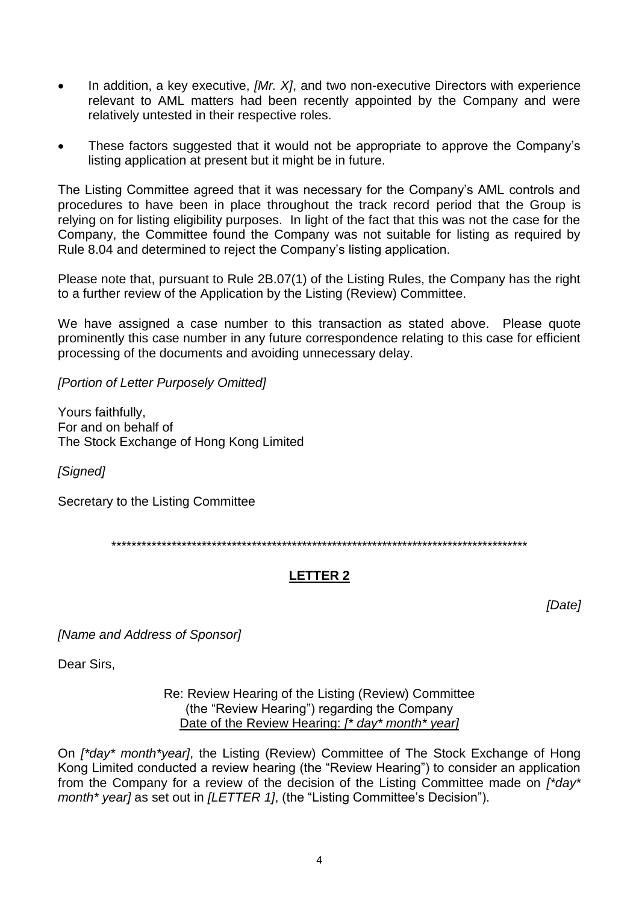- In addition, a key executive, *[Mr. X]*, and two non-executive Directors with experience relevant to AML matters had been recently appointed by the Company and were relatively untested in their respective roles.
- These factors suggested that it would not be appropriate to approve the Company's listing application at present but it might be in future.

The Listing Committee agreed that it was necessary for the Company's AML controls and procedures to have been in place throughout the track record period that the Group is relying on for listing eligibility purposes. In light of the fact that this was not the case for the Company, the Committee found the Company was not suitable for listing as required by Rule 8.04 and determined to reject the Company's listing application.

Please note that, pursuant to Rule 2B.07(1) of the Listing Rules, the Company has the right to a further review of the Application by the Listing (Review) Committee.

We have assigned a case number to this transaction as stated above. Please quote prominently this case number in any future correspondence relating to this case for efficient processing of the documents and avoiding unnecessary delay.

*[Portion of Letter Purposely Omitted]*

Yours faithfully, For and on behalf of The Stock Exchange of Hong Kong Limited

*[Signed]* 

Secretary to the Listing Committee

\*\*\*\*\*\*\*\*\*\*\*\*\*\*\*\*\*\*\*\*\*\*\*\*\*\*\*\*\*\*\*\*\*\*\*\*\*\*\*\*\*\*\*\*\*\*\*\*\*\*\*\*\*\*\*\*\*\*\*\*\*\*\*\*\*\*\*\*\*\*\*\*\*\*\*\*\*\*\*\*\*\*\*

# **LETTER 2**

*[Date]*

*[Name and Address of Sponsor]* 

Dear Sirs,

Re: Review Hearing of the Listing (Review) Committee (the "Review Hearing") regarding the Company Date of the Review Hearing: *[\* day\* month\* year]*

On *[\*day\* month\*year]*, the Listing (Review) Committee of The Stock Exchange of Hong Kong Limited conducted a review hearing (the "Review Hearing") to consider an application from the Company for a review of the decision of the Listing Committee made on *[\*day\* month\* year]* as set out in *[LETTER 1]*, (the "Listing Committee's Decision").